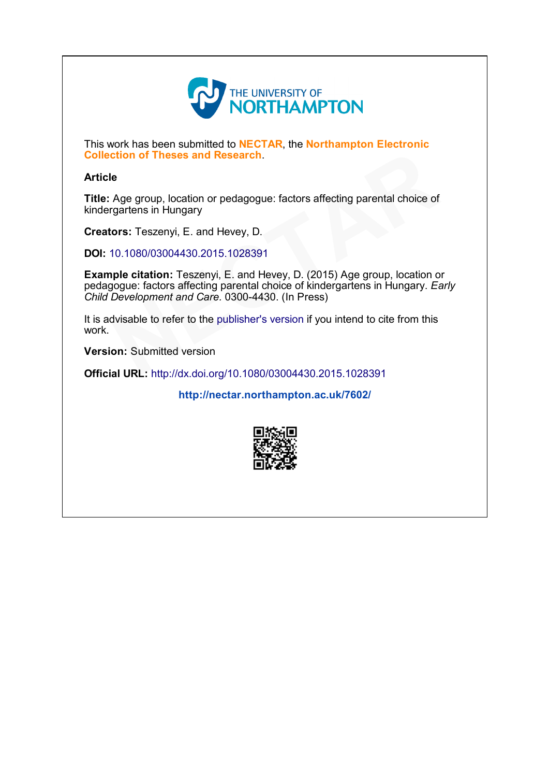

This work has been submitted to NECTAR, the Northampton Electronic Collection of Theses and Research.

## **Article**

Title: Age group, location or pedagogue: factors affecting parental choice of kindergartens in Hungary

Creators: Teszenyi, E. and Hevey, D.

DOI: 10.1080/03004430.2015.1028391

Example citation: Teszenyi, E. and Hevey, D. (2015) Age group, location or pedagogue: factors affecting parental choice of kindergartens in Hungary. Early Child Development and Care. 0300-4430. (In Press) Collection of Theses and Research.<br>
Title: Age group, location or pedagogue: factors affecting parental choice of<br>
kindergartens in Hungary<br>
Creators: Teszenyi, E. and Hevey, D.<br>
DOI: 10.1080/03004430.2015.1028391<br>
Example

It is advisable to refer to the publisher's version if you intend to cite from this work.

Version: Submitted version

<http://nectar.northampton.ac.uk/7602/>

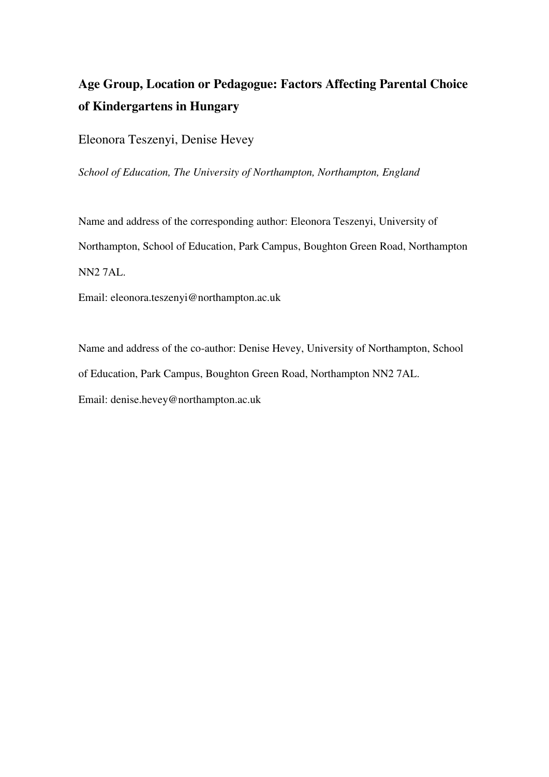## **Age Group, Location or Pedagogue: Factors Affecting Parental Choice of Kindergartens in Hungary**

Eleonora Teszenyi, Denise Hevey

*School of Education, The University of Northampton, Northampton, England* 

Name and address of the corresponding author: Eleonora Teszenyi, University of Northampton, School of Education, Park Campus, Boughton Green Road, Northampton NN2 7AL.

Email: eleonora.teszenyi@northampton.ac.uk

Name and address of the co-author: Denise Hevey, University of Northampton, School of Education, Park Campus, Boughton Green Road, Northampton NN2 7AL. Email: denise.hevey@northampton.ac.uk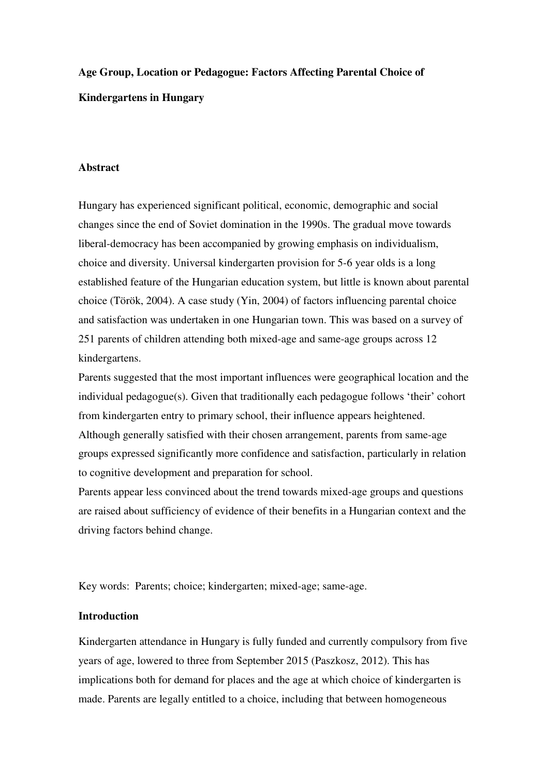# **Age Group, Location or Pedagogue: Factors Affecting Parental Choice of Kindergartens in Hungary**

## **Abstract**

Hungary has experienced significant political, economic, demographic and social changes since the end of Soviet domination in the 1990s. The gradual move towards liberal-democracy has been accompanied by growing emphasis on individualism, choice and diversity. Universal kindergarten provision for 5-6 year olds is a long established feature of the Hungarian education system, but little is known about parental choice (Török, 2004). A case study (Yin, 2004) of factors influencing parental choice and satisfaction was undertaken in one Hungarian town. This was based on a survey of 251 parents of children attending both mixed-age and same-age groups across 12 kindergartens.

Parents suggested that the most important influences were geographical location and the individual pedagogue(s). Given that traditionally each pedagogue follows 'their' cohort from kindergarten entry to primary school, their influence appears heightened. Although generally satisfied with their chosen arrangement, parents from same-age groups expressed significantly more confidence and satisfaction, particularly in relation to cognitive development and preparation for school.

Parents appear less convinced about the trend towards mixed-age groups and questions are raised about sufficiency of evidence of their benefits in a Hungarian context and the driving factors behind change.

Key words: Parents; choice; kindergarten; mixed-age; same-age.

## **Introduction**

Kindergarten attendance in Hungary is fully funded and currently compulsory from five years of age, lowered to three from September 2015 (Paszkosz, 2012). This has implications both for demand for places and the age at which choice of kindergarten is made. Parents are legally entitled to a choice, including that between homogeneous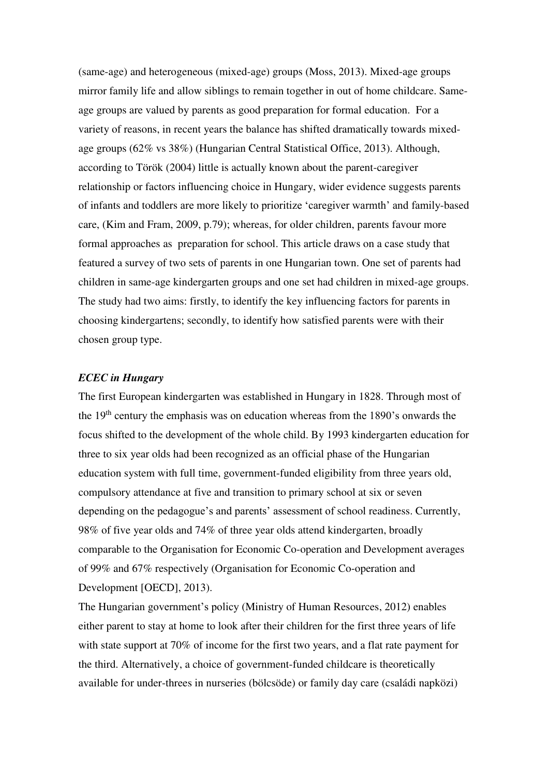(same-age) and heterogeneous (mixed-age) groups (Moss, 2013). Mixed-age groups mirror family life and allow siblings to remain together in out of home childcare. Sameage groups are valued by parents as good preparation for formal education. For a variety of reasons, in recent years the balance has shifted dramatically towards mixedage groups (62% vs 38%) (Hungarian Central Statistical Office, 2013). Although, according to Török (2004) little is actually known about the parent-caregiver relationship or factors influencing choice in Hungary, wider evidence suggests parents of infants and toddlers are more likely to prioritize 'caregiver warmth' and family-based care, (Kim and Fram, 2009, p.79); whereas, for older children, parents favour more formal approaches as preparation for school. This article draws on a case study that featured a survey of two sets of parents in one Hungarian town. One set of parents had children in same-age kindergarten groups and one set had children in mixed-age groups. The study had two aims: firstly, to identify the key influencing factors for parents in choosing kindergartens; secondly, to identify how satisfied parents were with their chosen group type.

## *ECEC in Hungary*

The first European kindergarten was established in Hungary in 1828. Through most of the 19th century the emphasis was on education whereas from the 1890's onwards the focus shifted to the development of the whole child. By 1993 kindergarten education for three to six year olds had been recognized as an official phase of the Hungarian education system with full time, government-funded eligibility from three years old, compulsory attendance at five and transition to primary school at six or seven depending on the pedagogue's and parents' assessment of school readiness. Currently, 98% of five year olds and 74% of three year olds attend kindergarten, broadly comparable to the Organisation for Economic Co-operation and Development averages of 99% and 67% respectively (Organisation for Economic Co-operation and Development [OECD], 2013).

The Hungarian government's policy (Ministry of Human Resources, 2012) enables either parent to stay at home to look after their children for the first three years of life with state support at 70% of income for the first two years, and a flat rate payment for the third. Alternatively, a choice of government-funded childcare is theoretically available for under-threes in nurseries (bölcsöde) or family day care (családi napközi)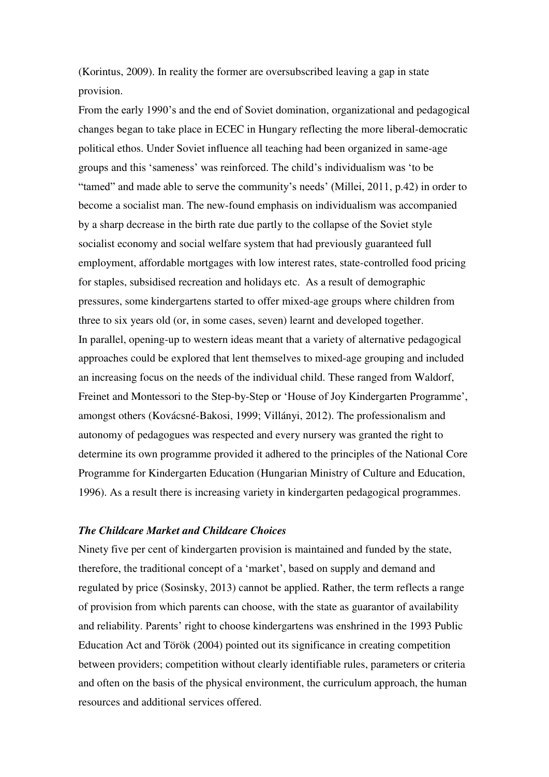(Korintus, 2009). In reality the former are oversubscribed leaving a gap in state provision.

From the early 1990's and the end of Soviet domination, organizational and pedagogical changes began to take place in ECEC in Hungary reflecting the more liberal-democratic political ethos. Under Soviet influence all teaching had been organized in same-age groups and this 'sameness' was reinforced. The child's individualism was 'to be "tamed" and made able to serve the community's needs' (Millei, 2011, p.42) in order to become a socialist man. The new-found emphasis on individualism was accompanied by a sharp decrease in the birth rate due partly to the collapse of the Soviet style socialist economy and social welfare system that had previously guaranteed full employment, affordable mortgages with low interest rates, state-controlled food pricing for staples, subsidised recreation and holidays etc. As a result of demographic pressures, some kindergartens started to offer mixed-age groups where children from three to six years old (or, in some cases, seven) learnt and developed together. In parallel, opening-up to western ideas meant that a variety of alternative pedagogical approaches could be explored that lent themselves to mixed-age grouping and included an increasing focus on the needs of the individual child. These ranged from Waldorf, Freinet and Montessori to the Step-by-Step or 'House of Joy Kindergarten Programme', amongst others (Kovácsné-Bakosi, 1999; Villányi, 2012). The professionalism and autonomy of pedagogues was respected and every nursery was granted the right to determine its own programme provided it adhered to the principles of the National Core Programme for Kindergarten Education (Hungarian Ministry of Culture and Education, 1996). As a result there is increasing variety in kindergarten pedagogical programmes.

## *The Childcare Market and Childcare Choices*

Ninety five per cent of kindergarten provision is maintained and funded by the state, therefore, the traditional concept of a 'market', based on supply and demand and regulated by price (Sosinsky, 2013) cannot be applied. Rather, the term reflects a range of provision from which parents can choose, with the state as guarantor of availability and reliability. Parents' right to choose kindergartens was enshrined in the 1993 Public Education Act and Török (2004) pointed out its significance in creating competition between providers; competition without clearly identifiable rules, parameters or criteria and often on the basis of the physical environment, the curriculum approach, the human resources and additional services offered.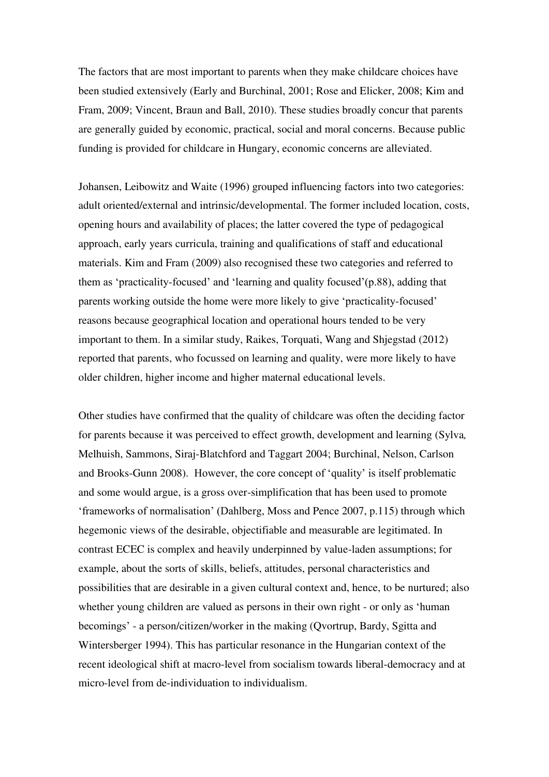The factors that are most important to parents when they make childcare choices have been studied extensively (Early and Burchinal, 2001; Rose and Elicker, 2008; Kim and Fram, 2009; Vincent, Braun and Ball, 2010). These studies broadly concur that parents are generally guided by economic, practical, social and moral concerns. Because public funding is provided for childcare in Hungary, economic concerns are alleviated.

Johansen, Leibowitz and Waite (1996) grouped influencing factors into two categories: adult oriented/external and intrinsic/developmental. The former included location, costs, opening hours and availability of places; the latter covered the type of pedagogical approach, early years curricula, training and qualifications of staff and educational materials. Kim and Fram (2009) also recognised these two categories and referred to them as 'practicality-focused' and 'learning and quality focused'(p.88), adding that parents working outside the home were more likely to give 'practicality-focused' reasons because geographical location and operational hours tended to be very important to them. In a similar study, Raikes, Torquati, Wang and Shjegstad (2012) reported that parents, who focussed on learning and quality, were more likely to have older children, higher income and higher maternal educational levels.

Other studies have confirmed that the quality of childcare was often the deciding factor for parents because it was perceived to effect growth, development and learning (Sylva*,* Melhuish, Sammons, Siraj-Blatchford and Taggart 2004; Burchinal, Nelson, Carlson and Brooks-Gunn 2008). However, the core concept of 'quality' is itself problematic and some would argue, is a gross over-simplification that has been used to promote 'frameworks of normalisation' (Dahlberg, Moss and Pence 2007, p.115) through which hegemonic views of the desirable, objectifiable and measurable are legitimated. In contrast ECEC is complex and heavily underpinned by value-laden assumptions; for example, about the sorts of skills, beliefs, attitudes, personal characteristics and possibilities that are desirable in a given cultural context and, hence, to be nurtured; also whether young children are valued as persons in their own right - or only as 'human becomings' - a person/citizen/worker in the making (Qvortrup, Bardy, Sgitta and Wintersberger 1994). This has particular resonance in the Hungarian context of the recent ideological shift at macro-level from socialism towards liberal-democracy and at micro-level from de-individuation to individualism.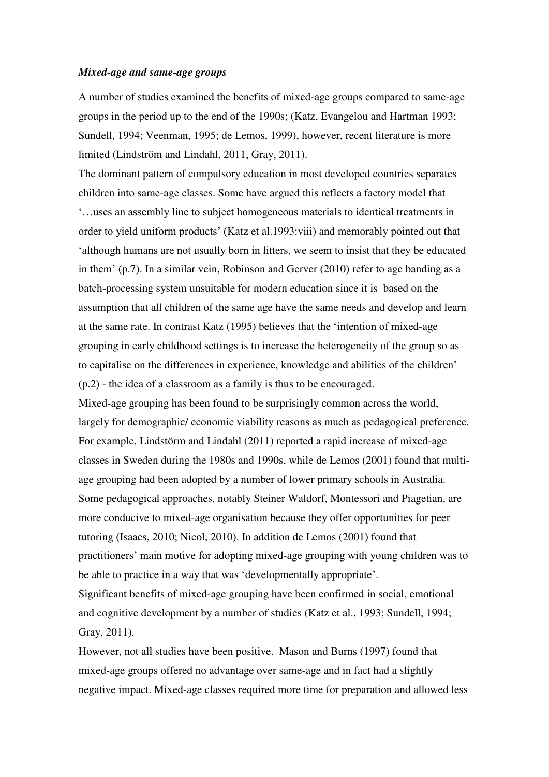#### *Mixed-age and same-age groups*

A number of studies examined the benefits of mixed-age groups compared to same-age groups in the period up to the end of the 1990s; (Katz, Evangelou and Hartman 1993; Sundell, 1994; Veenman, 1995; de Lemos, 1999), however, recent literature is more limited (Lindström and Lindahl, 2011, Gray, 2011).

The dominant pattern of compulsory education in most developed countries separates children into same-age classes. Some have argued this reflects a factory model that '…uses an assembly line to subject homogeneous materials to identical treatments in order to yield uniform products' (Katz et al.1993:viii) and memorably pointed out that 'although humans are not usually born in litters, we seem to insist that they be educated in them' (p.7). In a similar vein, Robinson and Gerver (2010) refer to age banding as a batch-processing system unsuitable for modern education since it is based on the assumption that all children of the same age have the same needs and develop and learn at the same rate. In contrast Katz (1995) believes that the 'intention of mixed-age grouping in early childhood settings is to increase the heterogeneity of the group so as to capitalise on the differences in experience, knowledge and abilities of the children' (p.2) - the idea of a classroom as a family is thus to be encouraged.

Mixed-age grouping has been found to be surprisingly common across the world, largely for demographic/ economic viability reasons as much as pedagogical preference. For example, Lindstörm and Lindahl (2011) reported a rapid increase of mixed-age classes in Sweden during the 1980s and 1990s, while de Lemos (2001) found that multiage grouping had been adopted by a number of lower primary schools in Australia. Some pedagogical approaches, notably Steiner Waldorf, Montessori and Piagetian, are more conducive to mixed-age organisation because they offer opportunities for peer tutoring (Isaacs, 2010; Nicol, 2010). In addition de Lemos (2001) found that practitioners' main motive for adopting mixed-age grouping with young children was to be able to practice in a way that was 'developmentally appropriate'.

Significant benefits of mixed-age grouping have been confirmed in social, emotional and cognitive development by a number of studies (Katz et al., 1993; Sundell, 1994; Gray, 2011).

However, not all studies have been positive. Mason and Burns (1997) found that mixed-age groups offered no advantage over same-age and in fact had a slightly negative impact. Mixed-age classes required more time for preparation and allowed less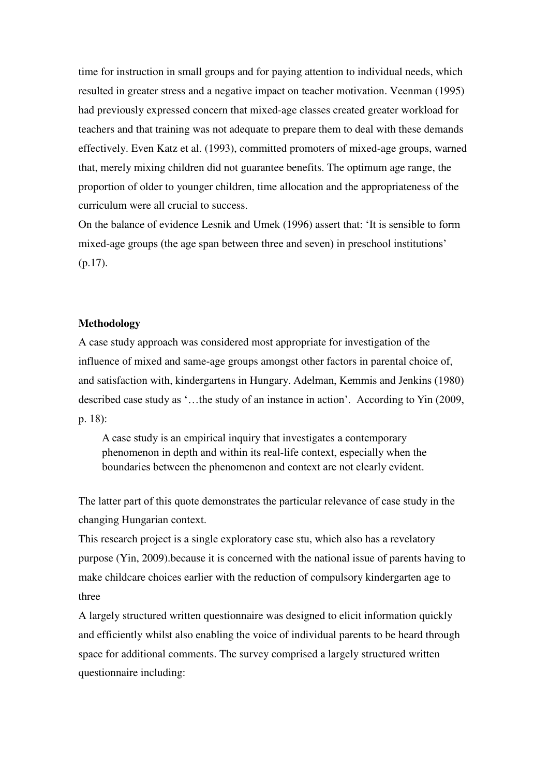time for instruction in small groups and for paying attention to individual needs, which resulted in greater stress and a negative impact on teacher motivation. Veenman (1995) had previously expressed concern that mixed-age classes created greater workload for teachers and that training was not adequate to prepare them to deal with these demands effectively. Even Katz et al. (1993), committed promoters of mixed-age groups, warned that, merely mixing children did not guarantee benefits. The optimum age range, the proportion of older to younger children, time allocation and the appropriateness of the curriculum were all crucial to success.

On the balance of evidence Lesnik and Umek (1996) assert that: 'It is sensible to form mixed-age groups (the age span between three and seven) in preschool institutions' (p.17).

#### **Methodology**

A case study approach was considered most appropriate for investigation of the influence of mixed and same-age groups amongst other factors in parental choice of, and satisfaction with, kindergartens in Hungary. Adelman, Kemmis and Jenkins (1980) described case study as '…the study of an instance in action'. According to Yin (2009, p. 18):

A case study is an empirical inquiry that investigates a contemporary phenomenon in depth and within its real-life context, especially when the boundaries between the phenomenon and context are not clearly evident.

The latter part of this quote demonstrates the particular relevance of case study in the changing Hungarian context.

This research project is a single exploratory case stu, which also has a revelatory purpose (Yin, 2009).because it is concerned with the national issue of parents having to make childcare choices earlier with the reduction of compulsory kindergarten age to three

A largely structured written questionnaire was designed to elicit information quickly and efficiently whilst also enabling the voice of individual parents to be heard through space for additional comments. The survey comprised a largely structured written questionnaire including: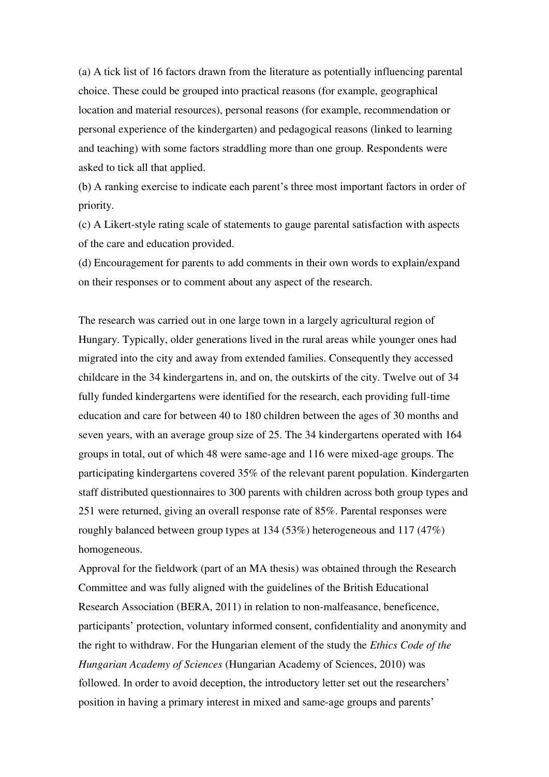(a) A tick list of 16 factors drawn from the literature as potentially influencing parental choice. These could be grouped into practical reasons (for example, geographical location and material resources), personal reasons (for example, recommendation or personal experience of the kindergarten) and pedagogical reasons (linked to learning and teaching) with some factors straddling more than one group. Respondents were asked to tick all that applied.

(b) A ranking exercise to indicate each parent's three most important factors in order of priority.

(c) A Likert-style rating scale of statements to gauge parental satisfaction with aspects of the care and education provided.

(d) Encouragement for parents to add comments in their own words to explain/expand on their responses or to comment about any aspect of the research.

The research was carried out in one large town in a largely agricultural region of Hungary. Typically, older generations lived in the rural areas while younger ones had migrated into the city and away from extended families. Consequently they accessed childcare in the 34 kindergartens in, and on, the outskirts of the city. Twelve out of 34 fully funded kindergartens were identified for the research, each providing full-time education and care for between 40 to 180 children between the ages of 30 months and seven years, with an average group size of 25. The 34 kindergartens operated with 164 groups in total, out of which 48 were same-age and 116 were mixed-age groups. The participating kindergartens covered 35% of the relevant parent population. Kindergarten staff distributed questionnaires to 300 parents with children across both group types and 251 were returned, giving an overall response rate of 85%. Parental responses were roughly balanced between group types at 134 (53%) heterogeneous and 117 (47%) homogeneous.

Approval for the fieldwork (part of an MA thesis) was obtained through the Research Committee and was fully aligned with the guidelines of the British Educational Research Association (BERA, 2011) in relation to non-malfeasance, beneficence, participants' protection, voluntary informed consent, confidentiality and anonymity and the right to withdraw. For the Hungarian element of the study the *Ethics Code of the Hungarian Academy of Sciences* (Hungarian Academy of Sciences, 2010) was followed. In order to avoid deception, the introductory letter set out the researchers' position in having a primary interest in mixed and same-age groups and parents'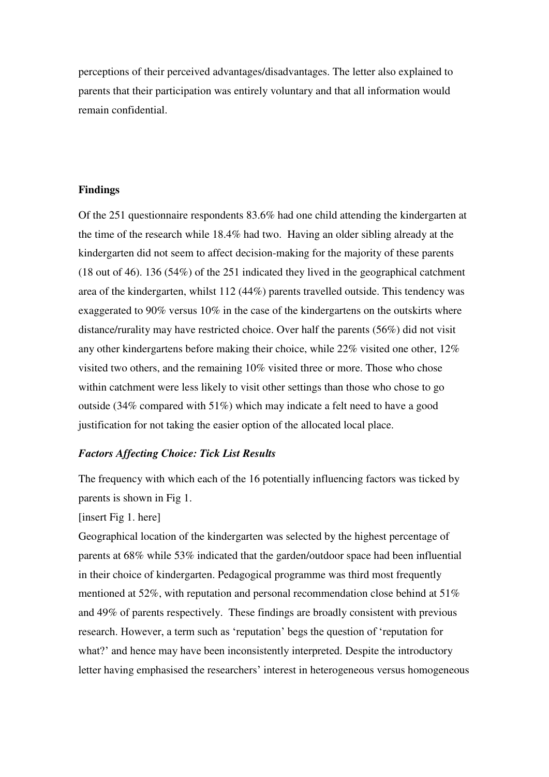perceptions of their perceived advantages/disadvantages. The letter also explained to parents that their participation was entirely voluntary and that all information would remain confidential.

## **Findings**

Of the 251 questionnaire respondents 83.6% had one child attending the kindergarten at the time of the research while 18.4% had two. Having an older sibling already at the kindergarten did not seem to affect decision-making for the majority of these parents (18 out of 46). 136 (54%) of the 251 indicated they lived in the geographical catchment area of the kindergarten, whilst 112 (44%) parents travelled outside. This tendency was exaggerated to 90% versus 10% in the case of the kindergartens on the outskirts where distance/rurality may have restricted choice. Over half the parents (56%) did not visit any other kindergartens before making their choice, while 22% visited one other, 12% visited two others, and the remaining 10% visited three or more. Those who chose within catchment were less likely to visit other settings than those who chose to go outside (34% compared with 51%) which may indicate a felt need to have a good justification for not taking the easier option of the allocated local place.

#### *Factors Affecting Choice: Tick List Results*

The frequency with which each of the 16 potentially influencing factors was ticked by parents is shown in Fig 1.

#### [insert Fig 1. here]

Geographical location of the kindergarten was selected by the highest percentage of parents at 68% while 53% indicated that the garden/outdoor space had been influential in their choice of kindergarten. Pedagogical programme was third most frequently mentioned at 52%, with reputation and personal recommendation close behind at 51% and 49% of parents respectively. These findings are broadly consistent with previous research. However, a term such as 'reputation' begs the question of 'reputation for what?' and hence may have been inconsistently interpreted. Despite the introductory letter having emphasised the researchers' interest in heterogeneous versus homogeneous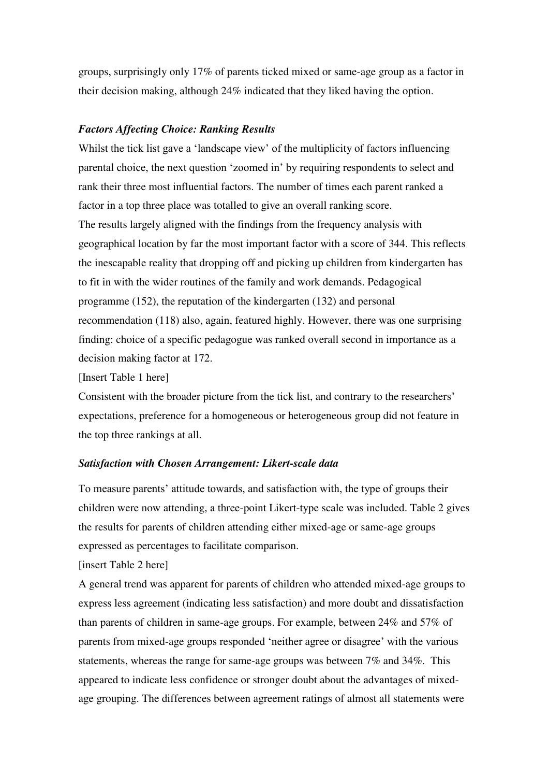groups, surprisingly only 17% of parents ticked mixed or same-age group as a factor in their decision making, although 24% indicated that they liked having the option.

## *Factors Affecting Choice: Ranking Results*

Whilst the tick list gave a 'landscape view' of the multiplicity of factors influencing parental choice, the next question 'zoomed in' by requiring respondents to select and rank their three most influential factors. The number of times each parent ranked a factor in a top three place was totalled to give an overall ranking score. The results largely aligned with the findings from the frequency analysis with geographical location by far the most important factor with a score of 344. This reflects the inescapable reality that dropping off and picking up children from kindergarten has to fit in with the wider routines of the family and work demands. Pedagogical programme (152), the reputation of the kindergarten (132) and personal recommendation (118) also, again, featured highly. However, there was one surprising finding: choice of a specific pedagogue was ranked overall second in importance as a decision making factor at 172.

[Insert Table 1 here]

Consistent with the broader picture from the tick list, and contrary to the researchers' expectations, preference for a homogeneous or heterogeneous group did not feature in the top three rankings at all.

## *Satisfaction with Chosen Arrangement: Likert-scale data*

To measure parents' attitude towards, and satisfaction with, the type of groups their children were now attending, a three-point Likert-type scale was included. Table 2 gives the results for parents of children attending either mixed-age or same-age groups expressed as percentages to facilitate comparison.

[insert Table 2 here]

A general trend was apparent for parents of children who attended mixed-age groups to express less agreement (indicating less satisfaction) and more doubt and dissatisfaction than parents of children in same-age groups. For example, between 24% and 57% of parents from mixed-age groups responded 'neither agree or disagree' with the various statements, whereas the range for same-age groups was between 7% and 34%. This appeared to indicate less confidence or stronger doubt about the advantages of mixedage grouping. The differences between agreement ratings of almost all statements were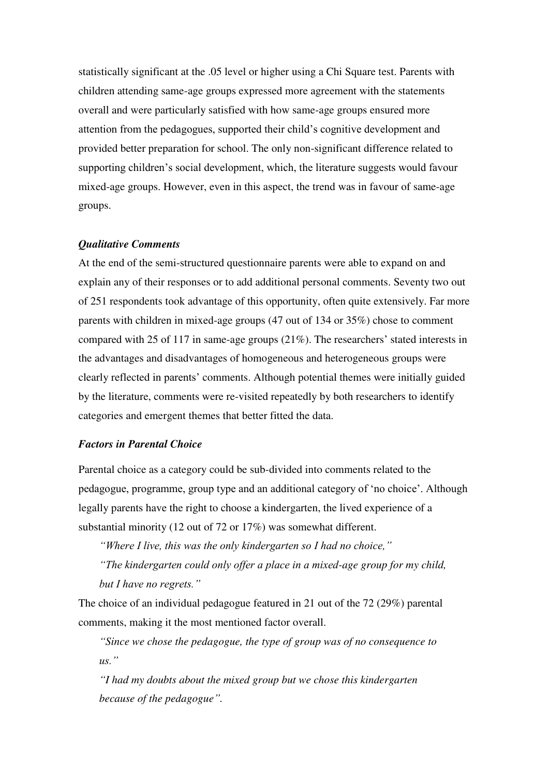statistically significant at the .05 level or higher using a Chi Square test. Parents with children attending same-age groups expressed more agreement with the statements overall and were particularly satisfied with how same-age groups ensured more attention from the pedagogues, supported their child's cognitive development and provided better preparation for school. The only non-significant difference related to supporting children's social development, which, the literature suggests would favour mixed-age groups. However, even in this aspect, the trend was in favour of same-age groups.

### *Qualitative Comments*

At the end of the semi-structured questionnaire parents were able to expand on and explain any of their responses or to add additional personal comments. Seventy two out of 251 respondents took advantage of this opportunity, often quite extensively. Far more parents with children in mixed-age groups (47 out of 134 or 35%) chose to comment compared with 25 of 117 in same-age groups (21%). The researchers' stated interests in the advantages and disadvantages of homogeneous and heterogeneous groups were clearly reflected in parents' comments. Although potential themes were initially guided by the literature, comments were re-visited repeatedly by both researchers to identify categories and emergent themes that better fitted the data.

## *Factors in Parental Choice*

Parental choice as a category could be sub-divided into comments related to the pedagogue, programme, group type and an additional category of 'no choice'. Although legally parents have the right to choose a kindergarten, the lived experience of a substantial minority (12 out of 72 or 17%) was somewhat different.

*"Where I live, this was the only kindergarten so I had no choice,"*

*"The kindergarten could only offer a place in a mixed-age group for my child, but I have no regrets."*

The choice of an individual pedagogue featured in 21 out of the 72 (29%) parental comments, making it the most mentioned factor overall.

*"Since we chose the pedagogue, the type of group was of no consequence to us."*

*"I had my doubts about the mixed group but we chose this kindergarten because of the pedagogue".*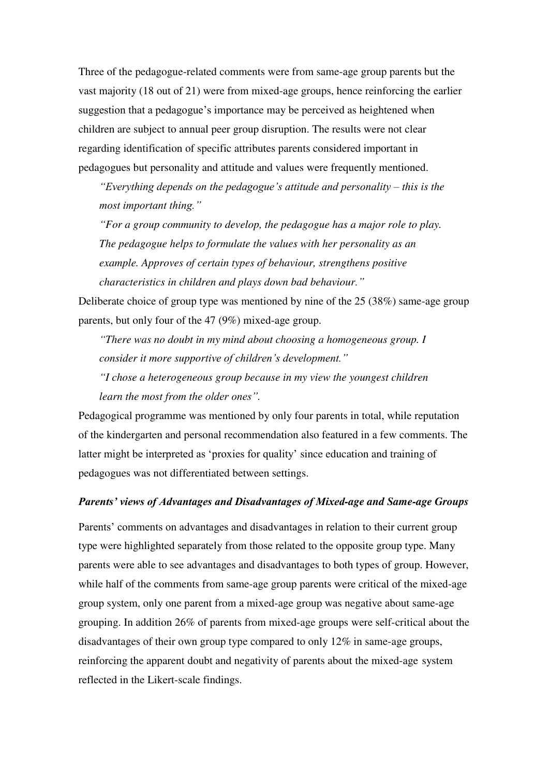Three of the pedagogue-related comments were from same-age group parents but the vast majority (18 out of 21) were from mixed-age groups, hence reinforcing the earlier suggestion that a pedagogue's importance may be perceived as heightened when children are subject to annual peer group disruption. The results were not clear regarding identification of specific attributes parents considered important in pedagogues but personality and attitude and values were frequently mentioned.

*"Everything depends on the pedagogue's attitude and personality – this is the most important thing."*

*"For a group community to develop, the pedagogue has a major role to play. The pedagogue helps to formulate the values with her personality as an example. Approves of certain types of behaviour, strengthens positive characteristics in children and plays down bad behaviour."*

Deliberate choice of group type was mentioned by nine of the 25 (38%) same-age group parents, but only four of the 47 (9%) mixed-age group.

*"There was no doubt in my mind about choosing a homogeneous group. I consider it more supportive of children's development."*

*"I chose a heterogeneous group because in my view the youngest children learn the most from the older ones".* 

Pedagogical programme was mentioned by only four parents in total, while reputation of the kindergarten and personal recommendation also featured in a few comments. The latter might be interpreted as 'proxies for quality' since education and training of pedagogues was not differentiated between settings.

## *Parents' views of Advantages and Disadvantages of Mixed-age and Same-age Groups*

Parents' comments on advantages and disadvantages in relation to their current group type were highlighted separately from those related to the opposite group type. Many parents were able to see advantages and disadvantages to both types of group. However, while half of the comments from same-age group parents were critical of the mixed-age group system, only one parent from a mixed-age group was negative about same-age grouping. In addition 26% of parents from mixed-age groups were self-critical about the disadvantages of their own group type compared to only 12% in same-age groups, reinforcing the apparent doubt and negativity of parents about the mixed-age system reflected in the Likert-scale findings.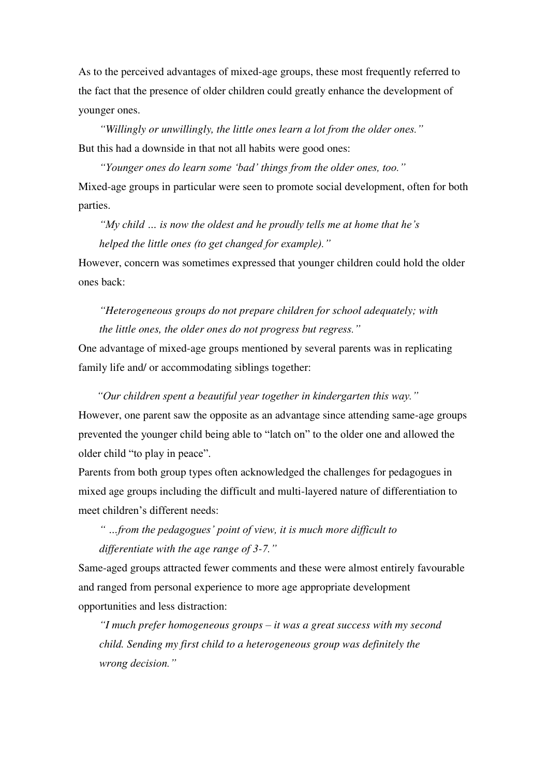As to the perceived advantages of mixed-age groups, these most frequently referred to the fact that the presence of older children could greatly enhance the development of younger ones.

*"Willingly or unwillingly, the little ones learn a lot from the older ones."* But this had a downside in that not all habits were good ones:

*"Younger ones do learn some 'bad' things from the older ones, too."* Mixed-age groups in particular were seen to promote social development, often for both parties.

*"My child … is now the oldest and he proudly tells me at home that he's helped the little ones (to get changed for example)."*

However, concern was sometimes expressed that younger children could hold the older ones back:

*"Heterogeneous groups do not prepare children for school adequately; with the little ones, the older ones do not progress but regress."*

One advantage of mixed-age groups mentioned by several parents was in replicating family life and/ or accommodating siblings together:

*"Our children spent a beautiful year together in kindergarten this way."*

However, one parent saw the opposite as an advantage since attending same-age groups prevented the younger child being able to "latch on" to the older one and allowed the older child "to play in peace".

Parents from both group types often acknowledged the challenges for pedagogues in mixed age groups including the difficult and multi-layered nature of differentiation to meet children's different needs:

*" …from the pedagogues' point of view, it is much more difficult to differentiate with the age range of 3-7."*

Same-aged groups attracted fewer comments and these were almost entirely favourable and ranged from personal experience to more age appropriate development opportunities and less distraction:

*"I much prefer homogeneous groups – it was a great success with my second child. Sending my first child to a heterogeneous group was definitely the wrong decision."*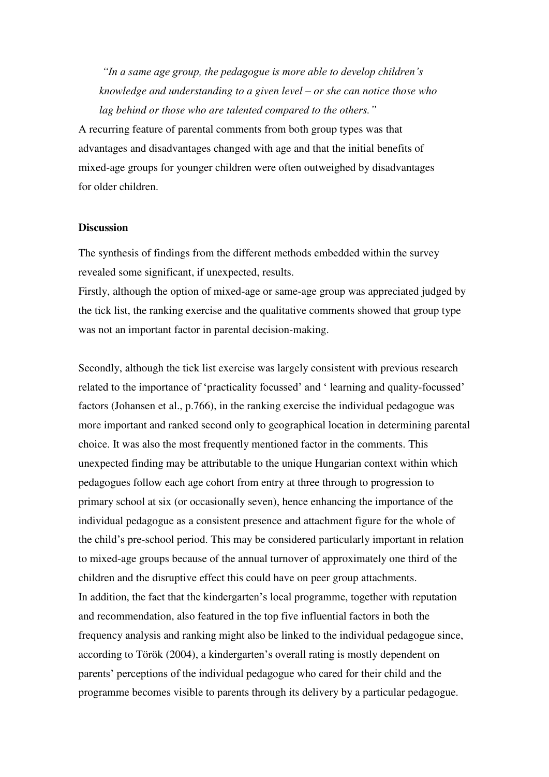*"In a same age group, the pedagogue is more able to develop children's knowledge and understanding to a given level – or she can notice those who lag behind or those who are talented compared to the others."*

A recurring feature of parental comments from both group types was that advantages and disadvantages changed with age and that the initial benefits of mixed-age groups for younger children were often outweighed by disadvantages for older children.

#### **Discussion**

The synthesis of findings from the different methods embedded within the survey revealed some significant, if unexpected, results.

Firstly, although the option of mixed-age or same-age group was appreciated judged by the tick list, the ranking exercise and the qualitative comments showed that group type was not an important factor in parental decision-making.

Secondly, although the tick list exercise was largely consistent with previous research related to the importance of 'practicality focussed' and ' learning and quality-focussed' factors (Johansen et al., p.766), in the ranking exercise the individual pedagogue was more important and ranked second only to geographical location in determining parental choice. It was also the most frequently mentioned factor in the comments. This unexpected finding may be attributable to the unique Hungarian context within which pedagogues follow each age cohort from entry at three through to progression to primary school at six (or occasionally seven), hence enhancing the importance of the individual pedagogue as a consistent presence and attachment figure for the whole of the child's pre-school period. This may be considered particularly important in relation to mixed-age groups because of the annual turnover of approximately one third of the children and the disruptive effect this could have on peer group attachments. In addition, the fact that the kindergarten's local programme, together with reputation and recommendation, also featured in the top five influential factors in both the frequency analysis and ranking might also be linked to the individual pedagogue since, according to Török (2004), a kindergarten's overall rating is mostly dependent on parents' perceptions of the individual pedagogue who cared for their child and the programme becomes visible to parents through its delivery by a particular pedagogue.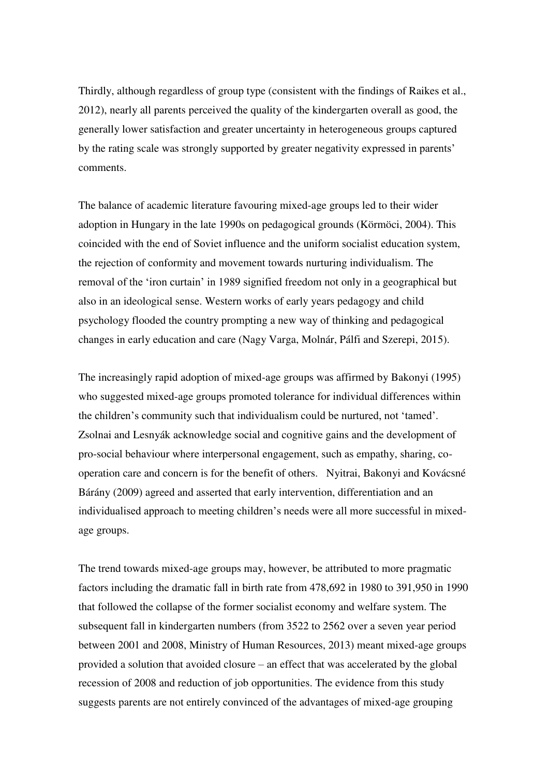Thirdly, although regardless of group type (consistent with the findings of Raikes et al., 2012), nearly all parents perceived the quality of the kindergarten overall as good, the generally lower satisfaction and greater uncertainty in heterogeneous groups captured by the rating scale was strongly supported by greater negativity expressed in parents' comments.

The balance of academic literature favouring mixed-age groups led to their wider adoption in Hungary in the late 1990s on pedagogical grounds (Körmöci, 2004). This coincided with the end of Soviet influence and the uniform socialist education system, the rejection of conformity and movement towards nurturing individualism. The removal of the 'iron curtain' in 1989 signified freedom not only in a geographical but also in an ideological sense. Western works of early years pedagogy and child psychology flooded the country prompting a new way of thinking and pedagogical changes in early education and care (Nagy Varga, Molnár, Pálfi and Szerepi, 2015).

The increasingly rapid adoption of mixed-age groups was affirmed by Bakonyi (1995) who suggested mixed-age groups promoted tolerance for individual differences within the children's community such that individualism could be nurtured, not 'tamed'. Zsolnai and Lesnyák acknowledge social and cognitive gains and the development of pro-social behaviour where interpersonal engagement, such as empathy, sharing, cooperation care and concern is for the benefit of others. Nyitrai, Bakonyi and Kovácsné Bárány (2009) agreed and asserted that early intervention, differentiation and an individualised approach to meeting children's needs were all more successful in mixedage groups.

The trend towards mixed-age groups may, however, be attributed to more pragmatic factors including the dramatic fall in birth rate from 478,692 in 1980 to 391,950 in 1990 that followed the collapse of the former socialist economy and welfare system. The subsequent fall in kindergarten numbers (from 3522 to 2562 over a seven year period between 2001 and 2008, Ministry of Human Resources, 2013) meant mixed-age groups provided a solution that avoided closure – an effect that was accelerated by the global recession of 2008 and reduction of job opportunities. The evidence from this study suggests parents are not entirely convinced of the advantages of mixed-age grouping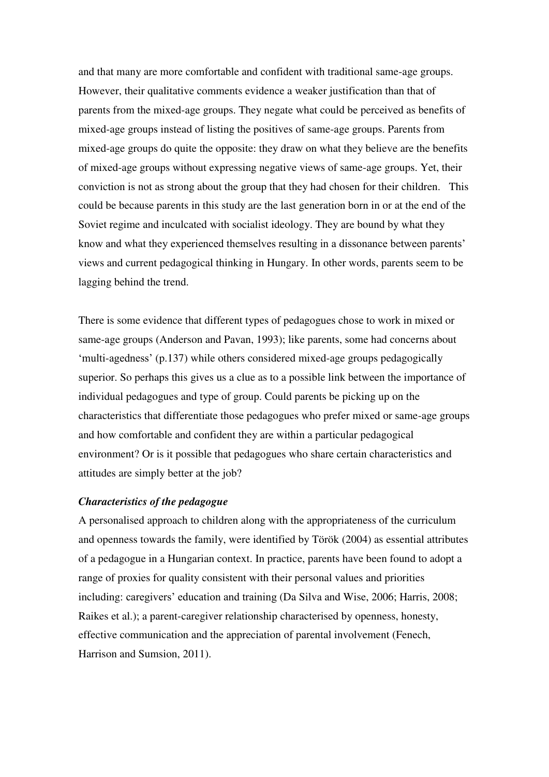and that many are more comfortable and confident with traditional same-age groups. However, their qualitative comments evidence a weaker justification than that of parents from the mixed-age groups. They negate what could be perceived as benefits of mixed-age groups instead of listing the positives of same-age groups. Parents from mixed-age groups do quite the opposite: they draw on what they believe are the benefits of mixed-age groups without expressing negative views of same-age groups. Yet, their conviction is not as strong about the group that they had chosen for their children. This could be because parents in this study are the last generation born in or at the end of the Soviet regime and inculcated with socialist ideology. They are bound by what they know and what they experienced themselves resulting in a dissonance between parents' views and current pedagogical thinking in Hungary. In other words, parents seem to be lagging behind the trend.

There is some evidence that different types of pedagogues chose to work in mixed or same-age groups (Anderson and Pavan, 1993); like parents, some had concerns about 'multi-agedness' (p.137) while others considered mixed-age groups pedagogically superior. So perhaps this gives us a clue as to a possible link between the importance of individual pedagogues and type of group. Could parents be picking up on the characteristics that differentiate those pedagogues who prefer mixed or same-age groups and how comfortable and confident they are within a particular pedagogical environment? Or is it possible that pedagogues who share certain characteristics and attitudes are simply better at the job?

## *Characteristics of the pedagogue*

A personalised approach to children along with the appropriateness of the curriculum and openness towards the family, were identified by Török (2004) as essential attributes of a pedagogue in a Hungarian context. In practice, parents have been found to adopt a range of proxies for quality consistent with their personal values and priorities including: caregivers' education and training (Da Silva and Wise, 2006; Harris, 2008; Raikes et al.); a parent-caregiver relationship characterised by openness, honesty, effective communication and the appreciation of parental involvement (Fenech, Harrison and Sumsion, 2011).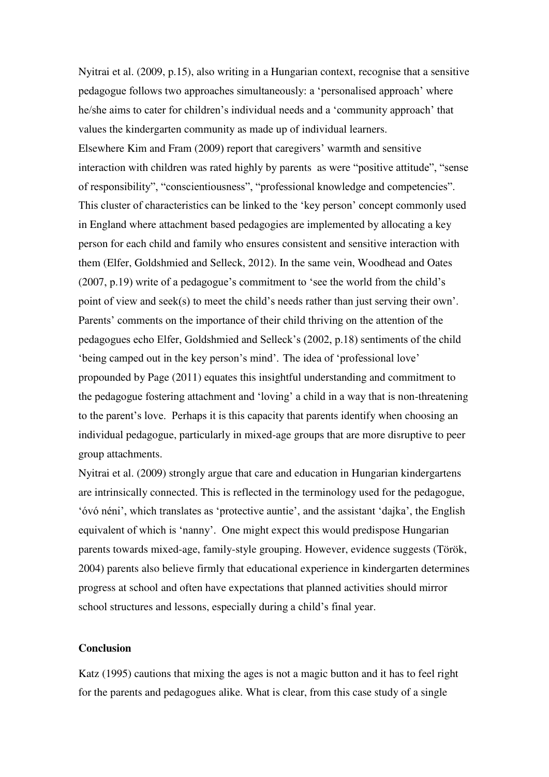Nyitrai et al. (2009, p.15), also writing in a Hungarian context, recognise that a sensitive pedagogue follows two approaches simultaneously: a 'personalised approach' where he/she aims to cater for children's individual needs and a 'community approach' that values the kindergarten community as made up of individual learners. Elsewhere Kim and Fram (2009) report that caregivers' warmth and sensitive interaction with children was rated highly by parents as were "positive attitude", "sense of responsibility", "conscientiousness", "professional knowledge and competencies". This cluster of characteristics can be linked to the 'key person' concept commonly used in England where attachment based pedagogies are implemented by allocating a key person for each child and family who ensures consistent and sensitive interaction with them (Elfer, Goldshmied and Selleck, 2012). In the same vein, Woodhead and Oates (2007, p.19) write of a pedagogue's commitment to 'see the world from the child's point of view and seek(s) to meet the child's needs rather than just serving their own'. Parents' comments on the importance of their child thriving on the attention of the pedagogues echo Elfer, Goldshmied and Selleck's (2002, p.18) sentiments of the child 'being camped out in the key person's mind'. The idea of 'professional love' propounded by Page (2011) equates this insightful understanding and commitment to the pedagogue fostering attachment and 'loving' a child in a way that is non-threatening to the parent's love. Perhaps it is this capacity that parents identify when choosing an individual pedagogue, particularly in mixed-age groups that are more disruptive to peer group attachments.

Nyitrai et al. (2009) strongly argue that care and education in Hungarian kindergartens are intrinsically connected. This is reflected in the terminology used for the pedagogue, 'óvó néni', which translates as 'protective auntie', and the assistant 'dajka', the English equivalent of which is 'nanny'. One might expect this would predispose Hungarian parents towards mixed-age, family-style grouping. However, evidence suggests (Török, 2004) parents also believe firmly that educational experience in kindergarten determines progress at school and often have expectations that planned activities should mirror school structures and lessons, especially during a child's final year.

#### **Conclusion**

Katz (1995) cautions that mixing the ages is not a magic button and it has to feel right for the parents and pedagogues alike. What is clear, from this case study of a single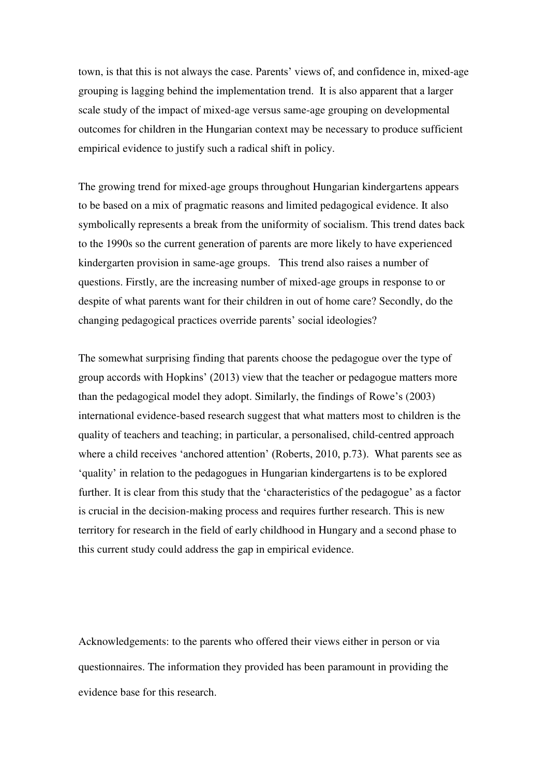town, is that this is not always the case. Parents' views of, and confidence in, mixed-age grouping is lagging behind the implementation trend. It is also apparent that a larger scale study of the impact of mixed-age versus same-age grouping on developmental outcomes for children in the Hungarian context may be necessary to produce sufficient empirical evidence to justify such a radical shift in policy.

The growing trend for mixed-age groups throughout Hungarian kindergartens appears to be based on a mix of pragmatic reasons and limited pedagogical evidence. It also symbolically represents a break from the uniformity of socialism. This trend dates back to the 1990s so the current generation of parents are more likely to have experienced kindergarten provision in same-age groups. This trend also raises a number of questions. Firstly, are the increasing number of mixed-age groups in response to or despite of what parents want for their children in out of home care? Secondly, do the changing pedagogical practices override parents' social ideologies?

The somewhat surprising finding that parents choose the pedagogue over the type of group accords with Hopkins' (2013) view that the teacher or pedagogue matters more than the pedagogical model they adopt. Similarly, the findings of Rowe's (2003) international evidence-based research suggest that what matters most to children is the quality of teachers and teaching; in particular, a personalised, child-centred approach where a child receives 'anchored attention' (Roberts, 2010, p.73). What parents see as 'quality' in relation to the pedagogues in Hungarian kindergartens is to be explored further. It is clear from this study that the 'characteristics of the pedagogue' as a factor is crucial in the decision-making process and requires further research. This is new territory for research in the field of early childhood in Hungary and a second phase to this current study could address the gap in empirical evidence.

Acknowledgements: to the parents who offered their views either in person or via questionnaires. The information they provided has been paramount in providing the evidence base for this research.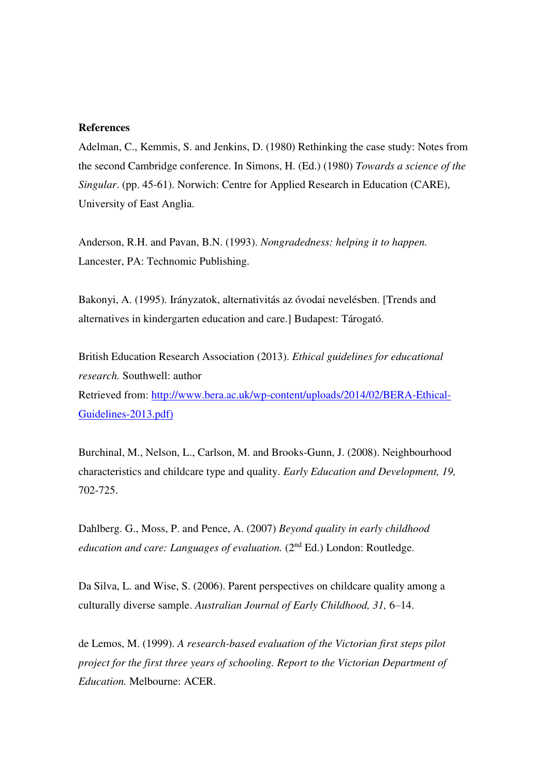## **References**

Adelman, C., Kemmis, S. and Jenkins, D. (1980) Rethinking the case study: Notes from the second Cambridge conference. In Simons, H. (Ed.) (1980) *Towards a science of the Singular*. (pp. 45-61). Norwich: Centre for Applied Research in Education (CARE), University of East Anglia.

Anderson, R.H. and Pavan, B.N. (1993). *Nongradedness: helping it to happen.* Lancester, PA: Technomic Publishing.

Bakonyi, A. (1995). Irányzatok, alternativitás az óvodai nevelésben. [Trends and alternatives in kindergarten education and care.] Budapest: Tárogató.

British Education Research Association (2013). *Ethical guidelines for educational research.* Southwell: author Retrieved from: [http://www.bera.ac.uk/wp-content/uploads/2014/02/BERA-Ethical-](http://www.bera.ac.uk/wp-content/uploads/2014/02/BERA-Ethical-Guidelines-2013.pdf)[Guidelines-2013.pdf\)](http://www.bera.ac.uk/wp-content/uploads/2014/02/BERA-Ethical-Guidelines-2013.pdf)

Burchinal, M., Nelson, L., Carlson, M. and Brooks-Gunn, J. (2008). Neighbourhood characteristics and childcare type and quality. *Early Education and Development, 19,* 702-725.

Dahlberg. G., Moss, P. and Pence, A. (2007) *Beyond quality in early childhood education and care: Languages of evaluation.* (2<sup>nd</sup> Ed.) London: Routledge.

Da Silva, L. and Wise, S. (2006). Parent perspectives on childcare quality among a culturally diverse sample. *Australian Journal of Early Childhood, 31,* 6–14.

de Lemos, M. (1999). *A research-based evaluation of the Victorian first steps pilot project for the first three years of schooling. Report to the Victorian Department of Education.* Melbourne: ACER.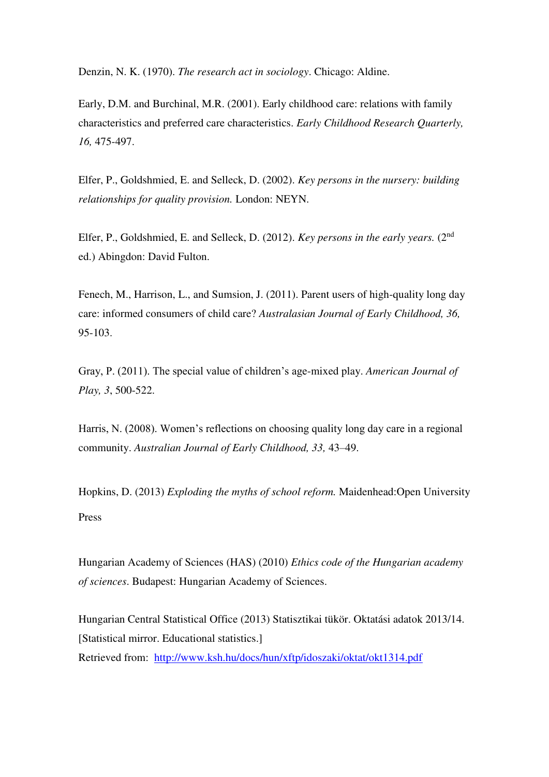Denzin, N. K. (1970). *The research act in sociology*. Chicago: Aldine.

Early, D.M. and Burchinal, M.R. (2001). Early childhood care: relations with family characteristics and preferred care characteristics. *Early Childhood Research Quarterly, 16,* 475-497.

Elfer, P., Goldshmied, E. and Selleck, D. (2002). *Key persons in the nursery: building relationships for quality provision.* London: NEYN.

Elfer, P., Goldshmied, E. and Selleck, D. (2012). *Key persons in the early years.* (2nd ed.) Abingdon: David Fulton.

Fenech, M., Harrison, L., and Sumsion, J. (2011). Parent users of high-quality long day care: informed consumers of child care? *Australasian Journal of Early Childhood, 36,* 95-103.

Gray, P. (2011). The special value of children's age-mixed play. *American Journal of Play, 3*, 500-522.

Harris, N. (2008). Women's reflections on choosing quality long day care in a regional community. *Australian Journal of Early Childhood, 33,* 43–49.

Hopkins, D. (2013) *Exploding the myths of school reform.* Maidenhead:Open University Press

Hungarian Academy of Sciences (HAS) (2010) *Ethics code of the Hungarian academy of sciences*. Budapest: Hungarian Academy of Sciences.

Hungarian Central Statistical Office (2013) Statisztikai tükör. Oktatási adatok 2013/14. [Statistical mirror. Educational statistics.] Retrieved from: <http://www.ksh.hu/docs/hun/xftp/idoszaki/oktat/okt1314.pdf>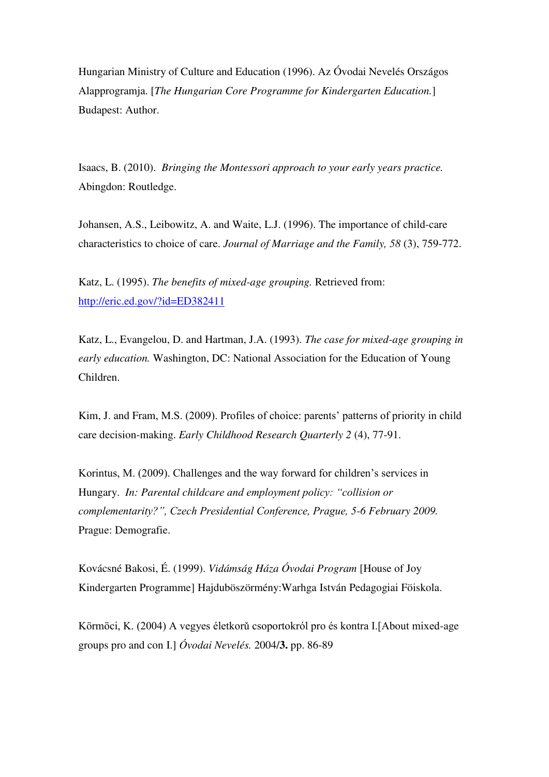Hungarian Ministry of Culture and Education (1996). Az Óvodai Nevelés Országos Alapprogramja. [*The Hungarian Core Programme for Kindergarten Education.*] Budapest: Author.

Isaacs, B. (2010). *Bringing the Montessori approach to your early years practice.*  Abingdon: Routledge.

Johansen, A.S., Leibowitz, A. and Waite, L.J. (1996). The importance of child-care characteristics to choice of care. *Journal of Marriage and the Family, 58* (3), 759-772.

Katz, L. (1995). *The benefits of mixed-age grouping.* Retrieved from: <http://eric.ed.gov/?id=ED382411>

Katz, L., Evangelou, D. and Hartman, J.A. (1993). *The case for mixed-age grouping in early education.* Washington, DC: National Association for the Education of Young Children.

Kim, J. and Fram, M.S. (2009). Profiles of choice: parents' patterns of priority in child care decision-making. *Early Childhood Research Quarterly 2* (4), 77-91.

Korintus, M. (2009). Challenges and the way forward for children's services in Hungary. *In: Parental childcare and employment policy: "collision or complementarity?", Czech Presidential Conference, Prague, 5-6 February 2009.*  Prague: Demografie.

Kovácsné Bakosi, É. (1999). *Vidámság Háza Óvodai Program* [House of Joy Kindergarten Programme] Hajduböszörmény:Warhga István Pedagogiai Föiskola.

Körmöci, K. (2004) A vegyes életkorǔ csoportokról pro és kontra I.[About mixed-age groups pro and con I.] *Óvodai Nevelés.* 2004/**3.** pp. 86-89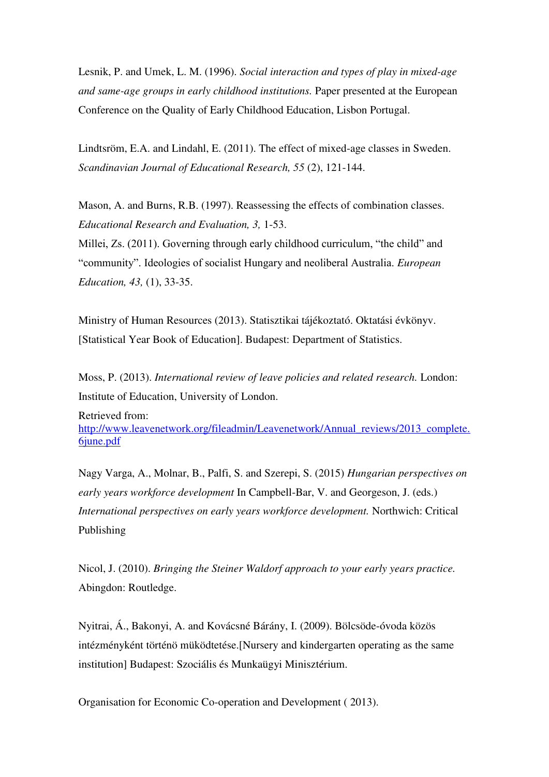Lesnik, P. and Umek, L. M. (1996). *Social interaction and types of play in mixed-age and same-age groups in early childhood institutions.* Paper presented at the European Conference on the Quality of Early Childhood Education, Lisbon Portugal.

Lindtsröm, E.A. and Lindahl, E. (2011). The effect of mixed-age classes in Sweden. *Scandinavian Journal of Educational Research, 55* (2), 121-144.

Mason, A. and Burns, R.B. (1997). Reassessing the effects of combination classes. *Educational Research and Evaluation, 3,* 1-53.

Millei, Zs. (2011). Governing through early childhood curriculum, "the child" and "community". Ideologies of socialist Hungary and neoliberal Australia. *European Education, 43,* (1), 33-35.

Ministry of Human Resources (2013). Statisztikai tájékoztató. Oktatási évkönyv. [Statistical Year Book of Education]. Budapest: Department of Statistics.

Moss, P. (2013). *International review of leave policies and related research.* London: Institute of Education, University of London.

Retrieved from: [http://www.leavenetwork.org/fileadmin/Leavenetwork/Annual\\_reviews/2013\\_complete.](http://www.leavenetwork.org/fileadmin/Leavenetwork/Annual_reviews/2013_complete.6june.pdf) [6june.pdf](http://www.leavenetwork.org/fileadmin/Leavenetwork/Annual_reviews/2013_complete.6june.pdf) 

Nagy Varga, A., Molnar, B., Palfi, S. and Szerepi, S. (2015) *Hungarian perspectives on early years workforce development* In Campbell-Bar, V. and Georgeson, J. (eds.) *International perspectives on early years workforce development.* Northwich: Critical Publishing

Nicol, J. (2010). *Bringing the Steiner Waldorf approach to your early years practice.* Abingdon: Routledge.

Nyitrai, Á., Bakonyi, A. and Kovácsné Bárány, I. (2009). Bölcsöde-óvoda közös intézményként történö müködtetése.[Nursery and kindergarten operating as the same institution] Budapest: Szociális és Munkaügyi Minisztérium.

Organisation for Economic Co-operation and Development ( 2013).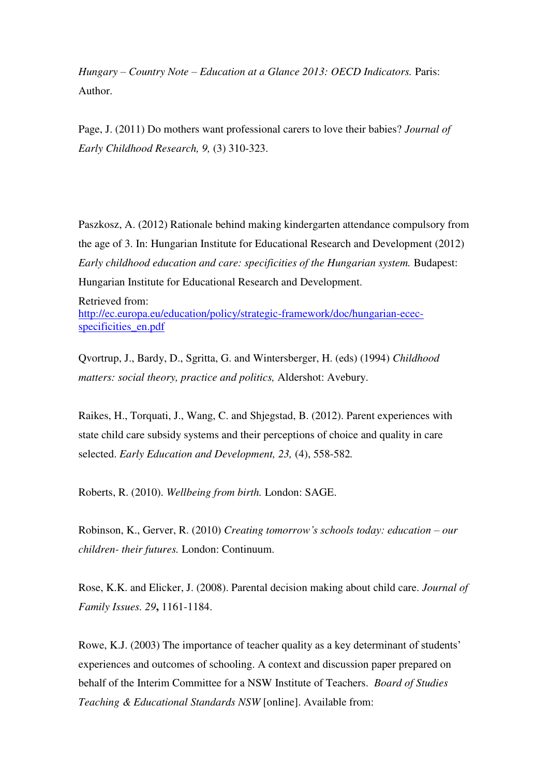*Hungary – Country Note – Education at a Glance 2013: OECD Indicators.* Paris: Author.

Page, J. (2011) Do mothers want professional carers to love their babies? *Journal of Early Childhood Research, 9,* (3) 310-323.

Paszkosz, A. (2012) Rationale behind making kindergarten attendance compulsory from the age of 3. In: Hungarian Institute for Educational Research and Development (2012) *Early childhood education and care: specificities of the Hungarian system.* Budapest: Hungarian Institute for Educational Research and Development.

Retrieved from: [http://ec.europa.eu/education/policy/strategic-framework/doc/hungarian-ecec](http://ec.europa.eu/education/policy/strategic-framework/doc/hungarian-ecec-specificities_en.pdf)[specificities\\_en.pdf](http://ec.europa.eu/education/policy/strategic-framework/doc/hungarian-ecec-specificities_en.pdf) 

Qvortrup, J., Bardy, D., Sgritta, G. and Wintersberger, H. (eds) (1994) *Childhood matters: social theory, practice and politics,* Aldershot: Avebury.

Raikes, H., Torquati, J., Wang, C. and Shjegstad, B. (2012). Parent experiences with state child care subsidy systems and their perceptions of choice and quality in care selected. *Early Education and Development, 23,* (4), 558-582*.* 

Roberts, R. (2010). *Wellbeing from birth.* London: SAGE.

Robinson, K., Gerver, R. (2010) *Creating tomorrow's schools today: education – our children- their futures.* London: Continuum.

Rose, K.K. and Elicker, J. (2008). Parental decision making about child care. *Journal of Family Issues. 29***,** 1161-1184.

Rowe, K.J. (2003) The importance of teacher quality as a key determinant of students' experiences and outcomes of schooling. A context and discussion paper prepared on behalf of the Interim Committee for a NSW Institute of Teachers. *Board of Studies Teaching & Educational Standards NSW* [online]. Available from: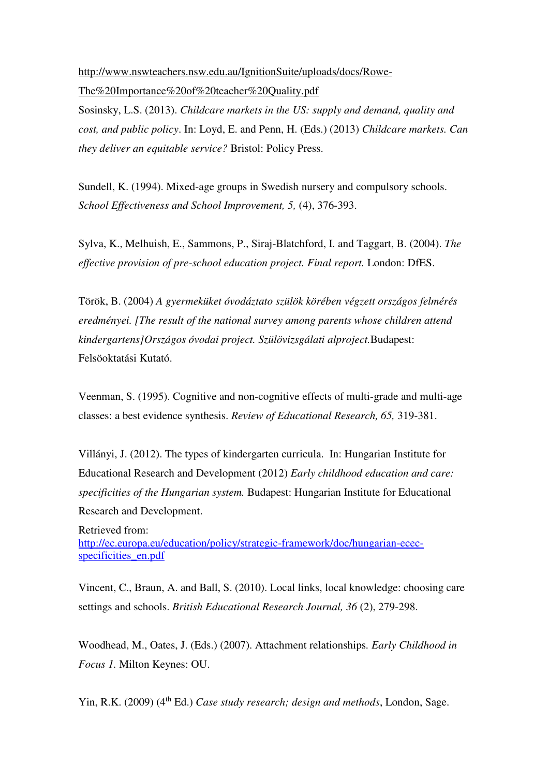[http://www.nswteachers.nsw.edu.au/IgnitionSuite/uploads/docs/Rowe-](http://www.nswteachers.nsw.edu.au/IgnitionSuite/uploads/docs/Rowe-The%20Importance%20of%20teacher%20Quality.pdf)[The%20Importance%20of%20teacher%20Quality.pdf](http://www.nswteachers.nsw.edu.au/IgnitionSuite/uploads/docs/Rowe-The%20Importance%20of%20teacher%20Quality.pdf) 

Sosinsky, L.S. (2013). *Childcare markets in the US: supply and demand, quality and cost, and public policy*. In: Loyd, E. and Penn, H. (Eds.) (2013) *Childcare markets. Can they deliver an equitable service?* Bristol: Policy Press.

Sundell, K. (1994). Mixed-age groups in Swedish nursery and compulsory schools. *School Effectiveness and School Improvement, 5,* (4), 376-393.

Sylva, K., Melhuish, E., Sammons, P., Siraj-Blatchford, I. and Taggart, B. (2004). *The effective provision of pre-school education project. Final report.* London: DfES.

Török, B. (2004) *A gyermeküket óvodáztato szülök körében végzett országos felmérés eredményei. [The result of the national survey among parents whose children attend kindergartens]Országos óvodai project. Szülövizsgálati alproject.*Budapest: Felsöoktatási Kutató.

Veenman, S. (1995). Cognitive and non-cognitive effects of multi-grade and multi-age classes: a best evidence synthesis. *Review of Educational Research, 65,* 319-381.

Villányi, J. (2012). The types of kindergarten curricula. In: Hungarian Institute for Educational Research and Development (2012) *Early childhood education and care: specificities of the Hungarian system.* Budapest: Hungarian Institute for Educational Research and Development.

Retrieved from: [http://ec.europa.eu/education/policy/strategic-framework/doc/hungarian-ecec](http://ec.europa.eu/education/policy/strategic-framework/doc/hungarian-ecec-specificities_en.pdf)[specificities\\_en.pdf](http://ec.europa.eu/education/policy/strategic-framework/doc/hungarian-ecec-specificities_en.pdf) 

Vincent, C., Braun, A. and Ball, S. (2010). Local links, local knowledge: choosing care settings and schools. *British Educational Research Journal, 36* (2), 279-298.

Woodhead, M., Oates, J. (Eds.) (2007). Attachment relationships*. Early Childhood in Focus 1.* Milton Keynes: OU.

Yin, R.K. (2009) (4<sup>th</sup> Ed.) *Case study research; design and methods*, London, Sage.